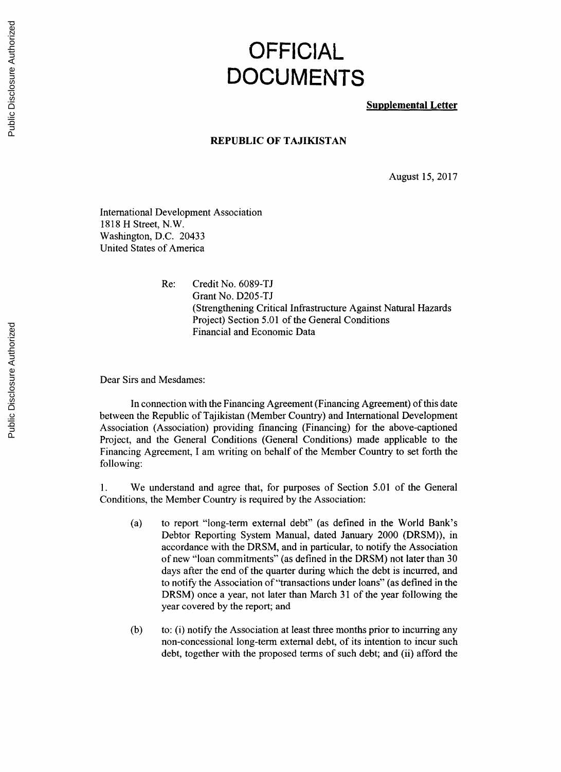## **OFFICIAL DOCUMENTS**

**Supplemental Letter**

## **REPUBLIC OF TAJIKISTAN**

August **15, 2017**

International Development Association **1818** H Street, N.W. Washington, **D.C.** 20433 United States of America

> Re: Credit No. **6089-TJ** Grant No. **D205-TJ** (Strengthening Critical Infrastructure Against Natural Hazards Project) Section **5.01** of the General Conditions Financial and Economic Data

Dear Sirs and Mesdames:

In connection with the Financing Agreement (Financing Agreement) of this date between the Republic of Tajikistan (Member Country) and International Development Association (Association) providing financing (Financing) for the above-captioned Project, and the General Conditions (General Conditions) made applicable to the Financing Agreement, **I** am writing on behalf of the Member Country to set forth the following:

**1.** We understand and agree that, for purposes of Section **5.01** of the General Conditions, the Member Country is required **by** the Association:

- (a) to report "long-term external debt" (as defined in the World Bank's Debtor Reporting System Manual, dated January 2000 (DRSM)), in accordance with the DRSM, and in particular, to notify the Association of new "loan commitments" (as defined in the DRSM) not later than **<sup>30</sup>** days after the end of the quarter during which the debt is incurred, and to notify the Association of "transactions under loans" (as defined in the DRSM) once a year, not later than March **31** of the year following the year covered **by** the report; and
- **(b)** to: **(i)** notify the Association at least three months prior to incurring any non-concessional long-term external debt, of its intention to incur such debt, together with the proposed terms of such debt; and (ii) afford the